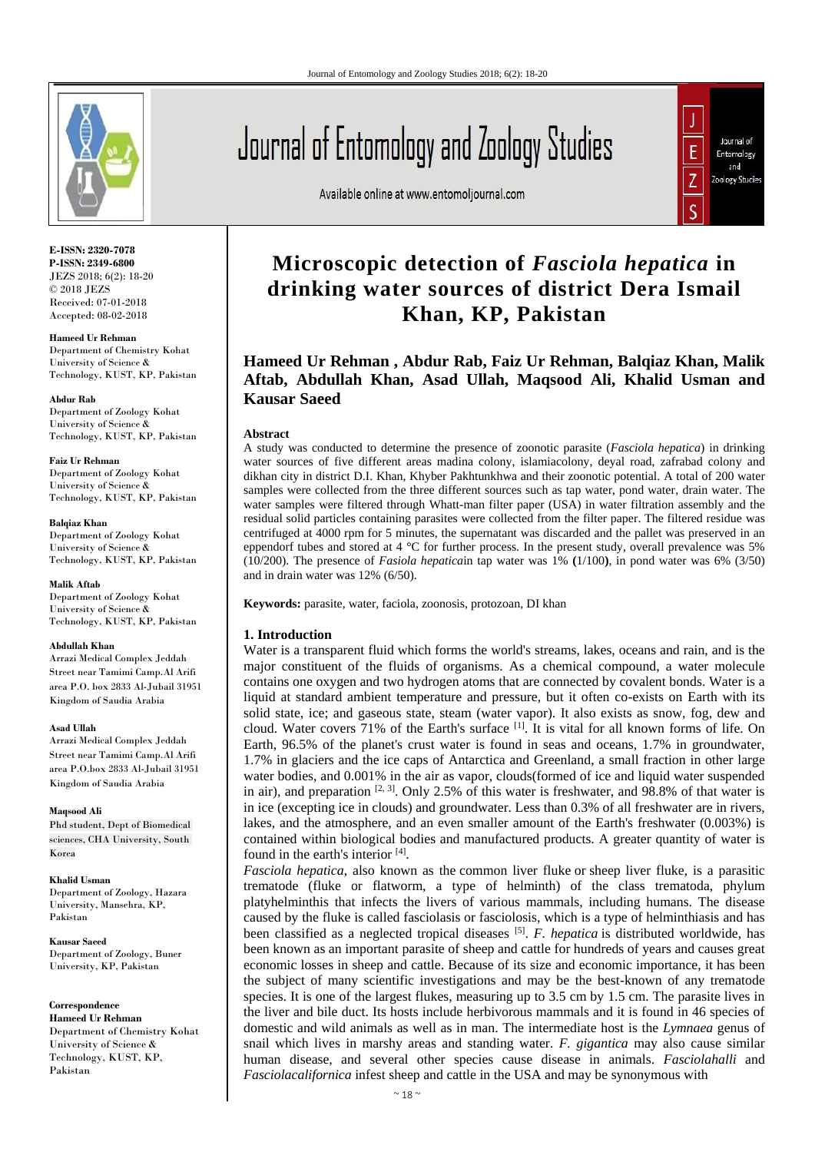

**E-ISSN: 2320-7078 P-ISSN: 2349-6800** JEZS 2018; 6(2): 18-20 © 2018 JEZS Received: 07-01-2018 Accepted: 08-02-2018

**Hameed Ur Rehman**  Department of Chemistry Kohat University of Science & Technology, KUST, KP, Pakistan

**Abdur Rab** Department of Zoology Kohat University of Science & Technology, KUST, KP, Pakistan

**Faiz Ur Rehman** Department of Zoology Kohat University of Science & Technology, KUST, KP, Pakistan

**Balqiaz Khan** Department of Zoology Kohat University of Science & Technology, KUST, KP, Pakistan

**Malik Aftab** Department of Zoology Kohat University of Science & Technology, KUST, KP, Pakistan

#### **Abdullah Khan**

Arrazi Medical Complex Jeddah Street near Tamimi Camp.Al Arifi area P.O. box 2833 Al-Jubail 31951 Kingdom of Saudia Arabia

**Asad Ullah**

Arrazi Medical Complex Jeddah Street near Tamimi Camp.Al Arifi area P.O.box 2833 Al-Jubail 31951 Kingdom of Saudia Arabia

**Maqsood Ali**

Phd student, Dept of Biomedical sciences, CHA University, South Korea

**Khalid Usman**

Department of Zoology, Hazara University, Mansehra, KP, Pakistan

**Kausar Saeed** Department of Zoology, Buner University, KP, Pakistan

**Correspondence**

**Hameed Ur Rehman**  Department of Chemistry Kohat University of Science & Technology, KUST, KP, Pakistan

# Journal of Entomology and Zoology Studies

Available online at www.entomoljournal.com



# **Microscopic detection of** *Fasciola hepatica* **in drinking water sources of district Dera Ismail Khan, KP, Pakistan**

**Hameed Ur Rehman , Abdur Rab, Faiz Ur Rehman, Balqiaz Khan, Malik Aftab, Abdullah Khan, Asad Ullah, Maqsood Ali, Khalid Usman and Kausar Saeed**

#### **Abstract**

A study was conducted to determine the presence of zoonotic parasite (*Fasciola hepatica*) in drinking water sources of five different areas madina colony, islamiacolony, deyal road, zafrabad colony and dikhan city in district D.I. Khan, Khyber Pakhtunkhwa and their zoonotic potential. A total of 200 water samples were collected from the three different sources such as tap water, pond water, drain water. The water samples were filtered through Whatt-man filter paper (USA) in water filtration assembly and the residual solid particles containing parasites were collected from the filter paper. The filtered residue was centrifuged at 4000 rpm for 5 minutes, the supernatant was discarded and the pallet was preserved in an eppendorf tubes and stored at 4 °C for further process. In the present study, overall prevalence was 5% (10/200). The presence of *Fasiola hepatica*in tap water was 1% **(**1/100**)**, in pond water was 6% (3/50) and in drain water was 12% (6/50).

**Keywords:** parasite, water, faciola, zoonosis, protozoan, DI khan

#### **1. Introduction**

Water is a transparent fluid which forms the world's streams, lakes, oceans and rain, and is the major constituent of the fluids of organisms. As a chemical compound, a water molecule contains one oxygen and two hydrogen atoms that are connected by covalent bonds. Water is a liquid at standard ambient temperature and pressure, but it often co-exists on Earth with its solid state, ice; and gaseous state, steam (water vapor). It also exists as snow, fog, dew and cloud. Water covers 71% of the Earth's surface <sup>[1]</sup>. It is vital for all known forms of life. On Earth, 96.5% of the planet's crust water is found in seas and oceans, 1.7% in groundwater, 1.7% in glaciers and the ice caps of Antarctica and Greenland, a small fraction in other large water bodies, and 0.001% in the air as vapor, clouds(formed of ice and liquid water suspended in air), and preparation  $[2, 3]$ . Only 2.5% of this water is freshwater, and 98.8% of that water is in ice (excepting ice in clouds) and groundwater. Less than 0.3% of all freshwater are in rivers, lakes, and the atmosphere, and an even smaller amount of the Earth's freshwater (0.003%) is contained within biological bodies and manufactured products. A greater quantity of water is found in the earth's interior [4].

*Fasciola hepatica*, also known as the common liver fluke or sheep liver fluke, is a parasitic trematode (fluke or flatworm, a type of helminth) of the class trematoda, phylum platyhelminthis that infects the livers of various mammals, including humans. The disease caused by the fluke is called fasciolasis or fasciolosis, which is a type of helminthiasis and has been classified as a neglected tropical diseases <sup>[5]</sup>. F. hepatica is distributed worldwide, has been known as an important parasite of sheep and cattle for hundreds of years and causes great economic losses in sheep and cattle. Because of its size and economic importance, it has been the subject of many scientific investigations and may be the best-known of any trematode species. It is one of the largest flukes, measuring up to 3.5 cm by 1.5 cm. The parasite lives in the liver and bile duct. Its hosts include herbivorous mammals and it is found in 46 species of domestic and wild animals as well as in man. The intermediate host is the *Lymnaea* genus of snail which lives in marshy areas and standing water. *F. gigantica* may also cause similar human disease, and several other species cause disease in animals. *Fasciolahalli* and *Fasciolacalifornica* infest sheep and cattle in the USA and may be synonymous with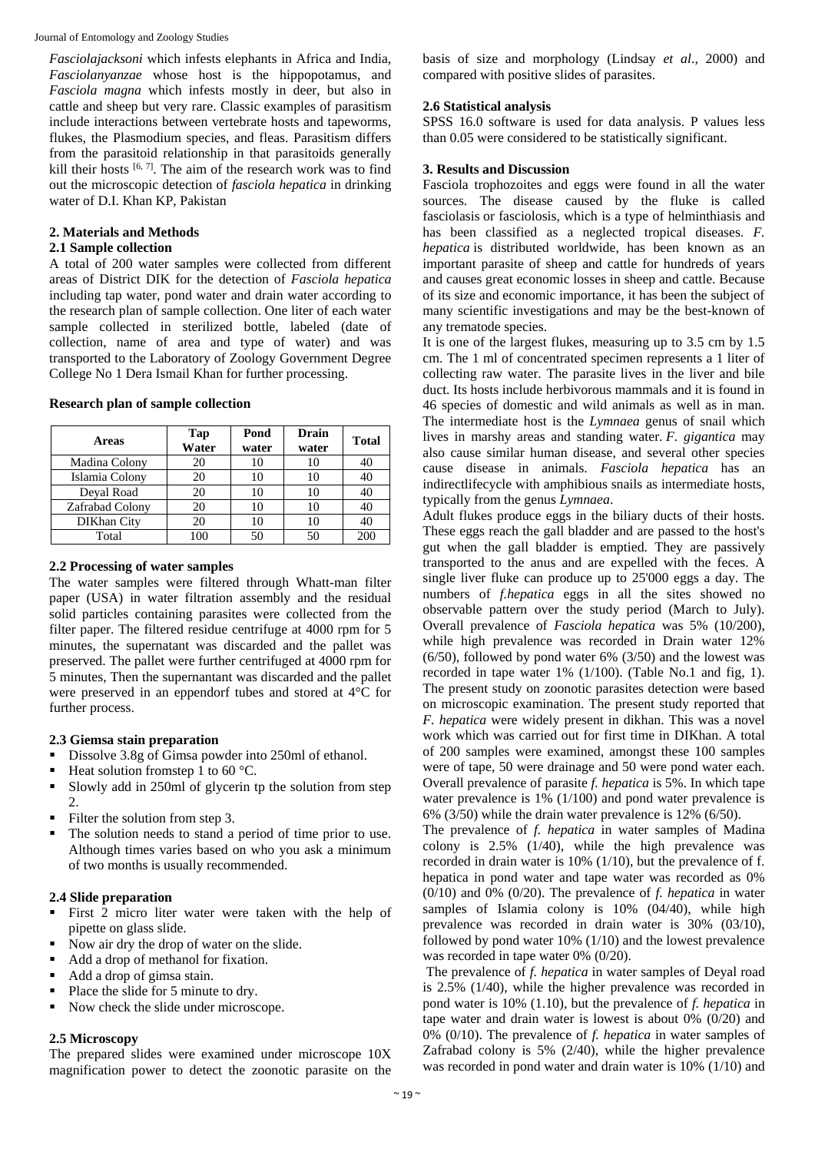Journal of Entomology and Zoology Studies

*Fasciolajacksoni* which infests elephants in Africa and India, *Fasciolanyanzae* whose host is the hippopotamus, and *Fasciola magna* which infests mostly in deer, but also in cattle and sheep but very rare. Classic examples of parasitism include interactions between vertebrate hosts and tapeworms, flukes, the Plasmodium species, and fleas. Parasitism differs from the parasitoid relationship in that parasitoids generally kill their hosts  $[6, 7]$ . The aim of the research work was to find out the microscopic detection of *fasciola hepatica* in drinking water of D.I. Khan KP, Pakistan

# **2. Materials and Methods**

# **2.1 Sample collection**

A total of 200 water samples were collected from different areas of District DIK for the detection of *Fasciola hepatica* including tap water, pond water and drain water according to the research plan of sample collection. One liter of each water sample collected in sterilized bottle, labeled (date of collection, name of area and type of water) and was transported to the Laboratory of Zoology Government Degree College No 1 Dera Ismail Khan for further processing.

| <b>Areas</b>       | Tap<br>Water | Pond<br>water | Drain<br>water | <b>Total</b> |
|--------------------|--------------|---------------|----------------|--------------|
| Madina Colony      | 20           | 10            | 10             |              |
| Islamia Colony     | 20           | 10            | 10             | 40           |
| Deyal Road         | 20           | 10            | 10             |              |
| Zafrabad Colony    | 20           | 10            | 10             | 40           |
| <b>DIKhan</b> City | 20           | 10            | 10             | 40           |
| Total              | $\Omega$     | 50            | 50             | 200          |

#### **Research plan of sample collection**

#### **2.2 Processing of water samples**

The water samples were filtered through Whatt-man filter paper (USA) in water filtration assembly and the residual solid particles containing parasites were collected from the filter paper. The filtered residue centrifuge at 4000 rpm for 5 minutes, the supernatant was discarded and the pallet was preserved. The pallet were further centrifuged at 4000 rpm for 5 minutes, Then the supernantant was discarded and the pallet were preserved in an eppendorf tubes and stored at 4°C for further process.

# **2.3 Giemsa stain preparation**

- Dissolve 3.8g of Gimsa powder into 250ml of ethanol.
- Heat solution fromstep 1 to 60 °C.
- Slowly add in 250ml of glycerin tp the solution from step 2.
- Filter the solution from step 3.
- The solution needs to stand a period of time prior to use. Although times varies based on who you ask a minimum of two months is usually recommended.

# **2.4 Slide preparation**

- First 2 micro liter water were taken with the help of pipette on glass slide.
- Now air dry the drop of water on the slide.
- Add a drop of methanol for fixation.
- Add a drop of gimsa stain.
- Place the slide for 5 minute to dry.
- Now check the slide under microscope.

# **2.5 Microscopy**

The prepared slides were examined under microscope 10X magnification power to detect the zoonotic parasite on the basis of size and morphology (Lindsay *et al*., 2000) and compared with positive slides of parasites.

# **2.6 Statistical analysis**

SPSS 16.0 software is used for data analysis. P values less than 0.05 were considered to be statistically significant.

# **3. Results and Discussion**

Fasciola trophozoites and eggs were found in all the water sources. The disease caused by the fluke is called fasciolasis or fasciolosis, which is a type of helminthiasis and has been classified as a neglected tropical diseases. *F. hepatica* is distributed worldwide, has been known as an important parasite of sheep and cattle for hundreds of years and causes great economic losses in sheep and cattle. Because of its size and economic importance, it has been the subject of many scientific investigations and may be the best-known of any trematode species.

It is one of the largest flukes, measuring up to 3.5 cm by 1.5 cm. The 1 ml of concentrated specimen represents a 1 liter of collecting raw water. The parasite lives in the liver and bile duct. Its hosts include herbivorous mammals and it is found in 46 species of domestic and wild animals as well as in man. The intermediate host is the *Lymnaea* genus of snail which lives in marshy areas and standing water. *F. gigantica* may also cause similar human disease, and several other species cause disease in animals. *Fasciola hepatica* has an indirectlifecycle with amphibious snails as intermediate hosts, typically from the genus *Lymnaea*.

Adult flukes produce eggs in the biliary ducts of their hosts. These eggs reach the gall bladder and are passed to the host's gut when the gall bladder is emptied. They are passively transported to the anus and are expelled with the feces. A single liver fluke can produce up to 25'000 eggs a day. The numbers of *f.hepatica* eggs in all the sites showed no observable pattern over the study period (March to July). Overall prevalence of *Fasciola hepatica* was 5% (10/200), while high prevalence was recorded in Drain water 12% (6/50), followed by pond water 6% (3/50) and the lowest was recorded in tape water 1% (1/100). (Table No.1 and fig, 1). The present study on zoonotic parasites detection were based on microscopic examination. The present study reported that *F. hepatica* were widely present in dikhan. This was a novel work which was carried out for first time in DIKhan. A total of 200 samples were examined, amongst these 100 samples were of tape, 50 were drainage and 50 were pond water each. Overall prevalence of parasite *f. hepatica* is 5%. In which tape water prevalence is 1% (1/100) and pond water prevalence is 6% (3/50) while the drain water prevalence is  $12\%$  (6/50).

The prevalence of *f. hepatica* in water samples of Madina colony is 2.5% (1/40), while the high prevalence was recorded in drain water is 10% (1/10), but the prevalence of f. hepatica in pond water and tape water was recorded as 0% (0/10) and 0% (0/20). The prevalence of *f. hepatica* in water samples of Islamia colony is 10% (04/40), while high prevalence was recorded in drain water is 30% (03/10), followed by pond water 10% (1/10) and the lowest prevalence was recorded in tape water 0% (0/20).

The prevalence of *f. hepatica* in water samples of Deyal road is 2.5% (1/40), while the higher prevalence was recorded in pond water is 10% (1.10), but the prevalence of *f. hepatica* in tape water and drain water is lowest is about 0% (0/20) and 0% (0/10). The prevalence of *f. hepatica* in water samples of Zafrabad colony is 5% (2/40), while the higher prevalence was recorded in pond water and drain water is 10% (1/10) and